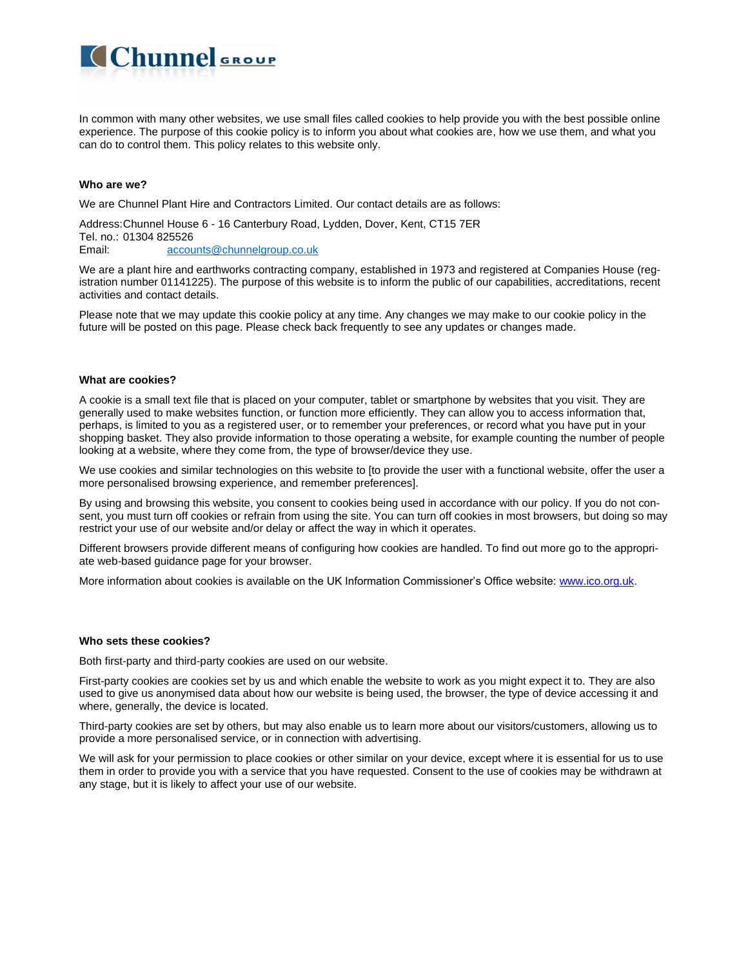In common with many other websites, we use small files called cookies to help provide you with the best possible online experience. The purpose of this cookie policy is to inform you about what cookies are, how we use them, and what you can do to control them. This policy relates to this website only.

### **Who are we?**

We are Chunnel Plant Hire and Contractors Limited. Our contact details are as follows:

Address:Chunnel House 6 - 16 Canterbury Road, Lydden, Dover, Kent, CT15 7ER

Tel. no.: 01304 825526 Email: [accounts@chunnelgroup.co.uk](mailto:accounts@chunnelgroup.co.uk)

Chunnel<sub>group</sub>

We are a plant hire and earthworks contracting company, established in 1973 and registered at Companies House (registration number 01141225). The purpose of this website is to inform the public of our capabilities, accreditations, recent activities and contact details.

Please note that we may update this cookie policy at any time. Any changes we may make to our cookie policy in the future will be posted on this page. Please check back frequently to see any updates or changes made.

#### **What are cookies?**

A cookie is a small text file that is placed on your computer, tablet or smartphone by websites that you visit. They are generally used to make websites function, or function more efficiently. They can allow you to access information that, perhaps, is limited to you as a registered user, or to remember your preferences, or record what you have put in your shopping basket. They also provide information to those operating a website, for example counting the number of people looking at a website, where they come from, the type of browser/device they use.

We use cookies and similar technologies on this website to [to provide the user with a functional website, offer the user a more personalised browsing experience, and remember preferences].

By using and browsing this website, you consent to cookies being used in accordance with our policy. If you do not consent, you must turn off cookies or refrain from using the site. You can turn off cookies in most browsers, but doing so may restrict your use of our website and/or delay or affect the way in which it operates.

Different browsers provide different means of configuring how cookies are handled. To find out more go to the appropriate web-based guidance page for your browser.

More information about cookies is available on the UK Information Commissioner's Office website: [www.ico.org.uk.](http://www.ico.org.uk/)

#### **Who sets these cookies?**

Both first-party and third-party cookies are used on our website.

First-party cookies are cookies set by us and which enable the website to work as you might expect it to. They are also used to give us anonymised data about how our website is being used, the browser, the type of device accessing it and where, generally, the device is located.

Third-party cookies are set by others, but may also enable us to learn more about our visitors/customers, allowing us to provide a more personalised service, or in connection with advertising.

We will ask for your permission to place cookies or other similar on your device, except where it is essential for us to use them in order to provide you with a service that you have requested. Consent to the use of cookies may be withdrawn at any stage, but it is likely to affect your use of our website.